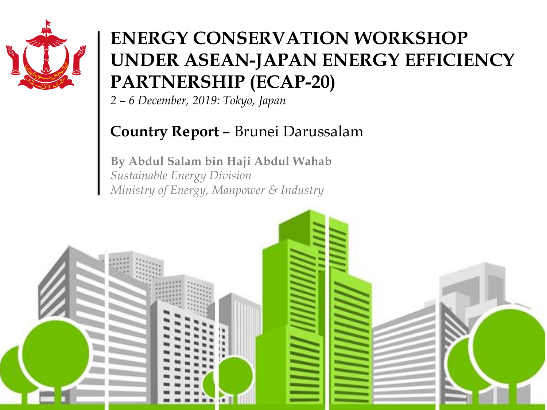

### **ENERGY UNDER ASEAN-JAPAN ENERGY EFFICIENCY ENERGY CONSERVATION WORKSHOP PARTNERSHIP (ECAP-20)**

*2 – 6 December, 2019: Tokyo, Japan*

#### **Country Report** – Brunei Darussalam

**By Abdul Salam bin Haji Abdul Wahab** *Sustainable Energy Division Ministry of Energy, Manpower & Industry*

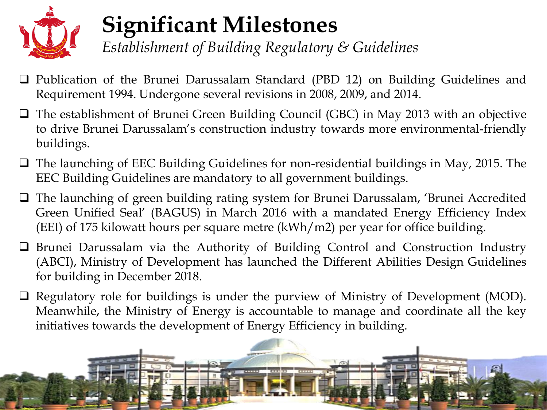

## **Significant Milestones**

*Establishment of Building Regulatory & Guidelines*

- □ Publication of the Brunei Darussalam Standard (PBD 12) on Building Guidelines and Requirement 1994. Undergone several revisions in 2008, 2009, and 2014.
- □ The establishment of Brunei Green Building Council (GBC) in May 2013 with an objective to drive Brunei Darussalam's construction industry towards more environmental-friendly buildings.
- □ The launching of EEC Building Guidelines for non-residential buildings in May, 2015. The EEC Building Guidelines are mandatory to all government buildings.
- □ The launching of green building rating system for Brunei Darussalam, 'Brunei Accredited Green Unified Seal' (BAGUS) in March 2016 with a mandated Energy Efficiency Index (EEI) of 175 kilowatt hours per square metre (kWh/m2) per year for office building.
- Brunei Darussalam via the Authority of Building Control and Construction Industry (ABCI), Ministry of Development has launched the Different Abilities Design Guidelines for building in December 2018.
- $\Box$  Regulatory role for buildings is under the purview of Ministry of Development (MOD). Meanwhile, the Ministry of Energy is accountable to manage and coordinate all the key initiatives towards the development of Energy Efficiency in building.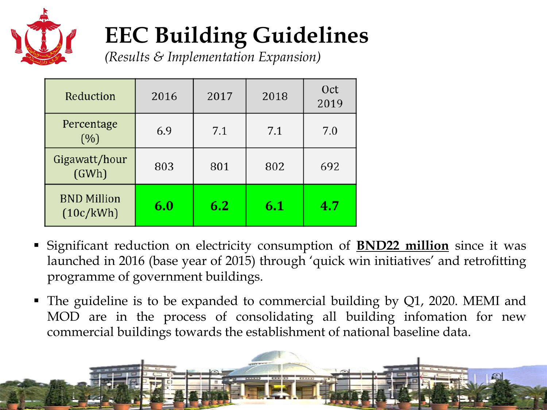

# **EEC Building Guidelines**

*(Results & Implementation Expansion)*

| Reduction                       | 2016 | 2017 | 2018 | Oct<br>2019 |
|---------------------------------|------|------|------|-------------|
| Percentage<br>(% )              | 6.9  | 7.1  | 7.1  | 7.0         |
| Gigawatt/hour<br>(GWh)          | 803  | 801  | 802  | 692         |
| <b>BND Million</b><br>(10c/kWh) | 6.0  | 6.2  | 6.1  | 4.7         |

- Significant reduction on electricity consumption of **BND22 million** since it was launched in 2016 (base year of 2015) through 'quick win initiatives' and retrofitting programme of government buildings.
- The guideline is to be expanded to commercial building by Q1, 2020. MEMI and MOD are in the process of consolidating all building infomation for new commercial buildings towards the establishment of national baseline data.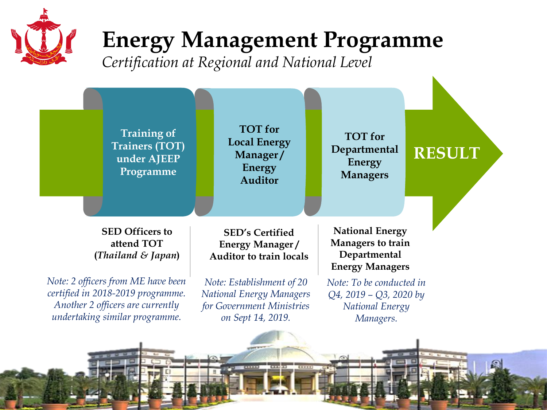

## **Energy Management Programme**

*Certification at Regional and National Level*



8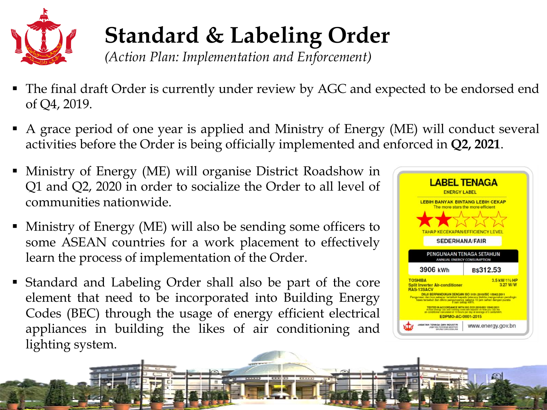

## **Standard & Labeling Order**

*(Action Plan: Implementation and Enforcement)*

- The final draft Order is currently under review by AGC and expected to be endorsed end of Q4, 2019.
- A grace period of one year is applied and Ministry of Energy (ME) will conduct several activities before the Order is being officially implemented and enforced in **Q2, 2021**.
- Ministry of Energy (ME) will organise District Roadshow in Q1 and Q2, 2020 in order to socialize the Order to all level of communities nationwide.
- Ministry of Energy (ME) will also be sending some officers to some ASEAN countries for a work placement to effectively learn the process of implementation of the Order.
- Standard and Labeling Order shall also be part of the core element that need to be incorporated into Building Energy Codes (BEC) through the usage of energy efficient electrical appliances in building the likes of air conditioning and lighting system.

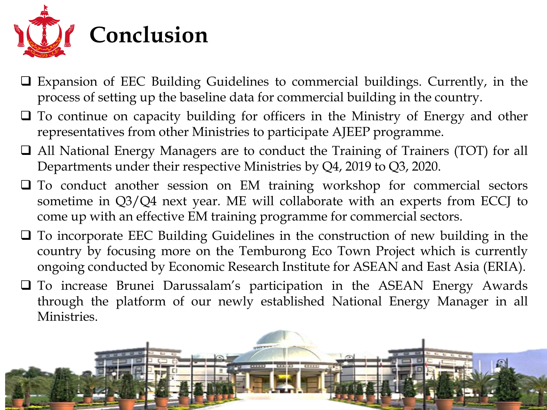

- Expansion of EEC Building Guidelines to commercial buildings. Currently, in the process of setting up the baseline data for commercial building in the country.
- $\Box$  To continue on capacity building for officers in the Ministry of Energy and other representatives from other Ministries to participate AJEEP programme.
- □ All National Energy Managers are to conduct the Training of Trainers (TOT) for all Departments under their respective Ministries by Q4, 2019 to Q3, 2020.
- $\Box$  To conduct another session on EM training workshop for commercial sectors sometime in Q3/Q4 next year. ME will collaborate with an experts from ECCJ to come up with an effective EM training programme for commercial sectors.
- To incorporate EEC Building Guidelines in the construction of new building in the country by focusing more on the Temburong Eco Town Project which is currently ongoing conducted by Economic Research Institute for ASEAN and East Asia (ERIA).
- To increase Brunei Darussalam's participation in the ASEAN Energy Awards through the platform of our newly established National Energy Manager in all Ministries.